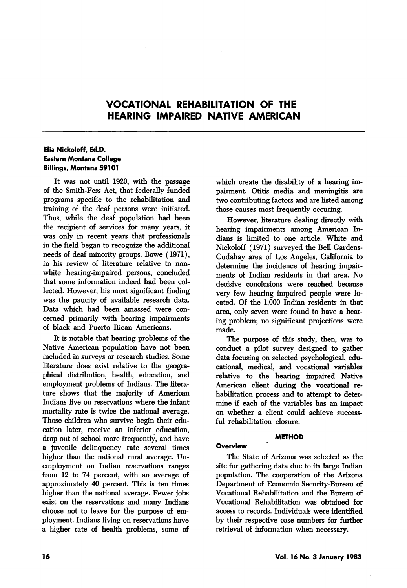# VOCATIONAL REHABILITATION OF THE HEARING IMPAIRED NATIVE AMERICAN

## Elia Nickoloff, Ed.D. Eastern Montana College Billings, Montana 59101

It was not until 1920, with the passage of the Smith-Fess Act, that federally funded programs specific to the rehabilitation and training of the deaf persons were initiated. Thus, while the deaf population had been the recipient of services for many years, it was only in recent years that professionals in the field began to recognize the additional needs of deaf minority groups. Bowe (1971), in his review of literature relative to nonwhite hearing-impaired persons, concluded that some information indeed had been col lected. However, his most significant finding was the paucity of available research data. Data which had been amassed were con cerned primarily with hearing impairments of black and Puerto Rican Americans.

It is notable that hearing problems of the Native American population have not been included in surveys or research studies. Some literature does exist relative to the geogra phical distribution, health, education, and employment problems of Indians. The litera ture shows that the majority of American Indians live on reservations where the infant mortality rate is twice the national average. Those children who survive begin their edu cation later, receive an inferior education, drop out of school more frequently, and have a juvenile delinquency rate several times higher than the national rural average. Un employment on Indian reservations ranges from 12 to 74 percent, with an average of approximately 40 percent. This is ten times higher than the national average. Fewer jobs exist on the reservations and many Indians choose not to leave for the purpose of em ployment. Indians living on reservations have a higher rate of health problems, some of which create the disability of a hearing im pairment. Otitis media and meningitis are two contributing factors and are listed among those causes most frequently occuring.

However, literature dealing directly with hearing impairments among American In dians is limited to one article. White and Nickoloff (1971) surveyed the Bell Gardens-Cudahay area of Los Angeles, California to determine the incidence of hearing impair ments of Indian residents in that area. No decisive conclusions were reached because very few hearing impaired people were lo cated. Of the 1,000 Indian residents in that area, only seven were found to have a hear ing problem; no significant projections were made.

The purpose of this study, then, was to conduct a pilot survey designed to gather data focusing on selected psychological, edu cational, medical, and vocational variables relative to the hearing impaired Native American client during the vocational re habilitation process and to attempt to deter mine if each of the variables has an impact on whether a client could achieve success ful rehabilitation closure.

#### METHOD

### **Overview**

The State of Arizona was selected as the site for gathering data due to its large Indian population. The cooperation of the Arizona Department of Economic Security-Bureau of Vocational Rehabilitation and the Bureau of Vocational Rehabilitation was obtained for access to records. Individuals were identified by their respective case numbers for further retrieval of information when necessary.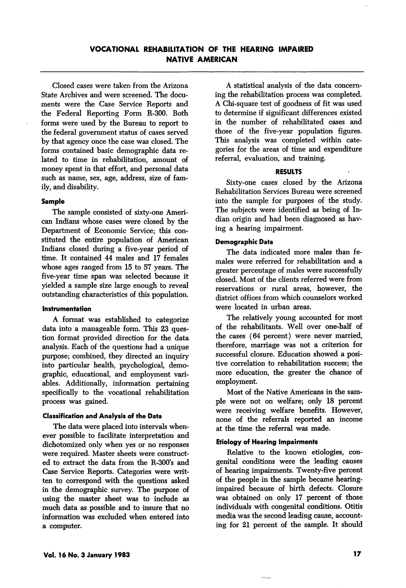## VOCATIONAL REHABILITATION OF THE HEARING IMPAIRED NATIVE AMERICAN

Closed cases were taken from the Arizona State Archives and were screened. The docu ments were the Case Service Reports and the Federal Reporting Form R-300. Both forms were used by the Bureau to report to the federal government status of cases served by that agency once the case was closed. The forms contained basic demographic data re lated to time in rehabilitation, amount of money spent in that effort, and personal data such as name, sex, age, address, size of fam ily, and disability.

#### Sample

The sample consisted of sixty-one Ameri can Indians whose cases were closed by the Department of Economic Service; this con stituted the entire population of American Indians closed during a five-year period of time. It contained 44 males and 17 females whose ages ranged from 15 to 57 years. The five-year time span was selected because it yielded a sample size large enough to reveal outstanding characteristics of this population.

#### Instrumentation

A format was established to categorize data into a manageable form. This 23 ques tion format provided direction for the data analysis. Each of the questions had a unique purpose; combined, they directed an inquiry into particular health, psychological, demo graphic, educational, and employment vari ables. Additionally, information pertaining specifically to the vocational rehabilitation process was gained.

#### Classification and Analysis of the Data

The data were placed into intervals when ever possible to facilitate interpretation and dichotomized only when yes or no responses were required. Master sheets were construct ed to extract the data from the R-300's and Case Service Reports. Categories were writ ten to correspond with the questions asked in the demographic survey. The purpose of using the master sheet was to include as much data as possible and to insure that no information was excluded when entered into a computer.

A statistical analysis of the data concern ing the rehabilitation process was completed. A Chi-square test of goodness of fit was used to determine if significant differences existed in the number of rehabilitated cases and those of the five-year population figures. This analysis was completed within cate gories for the areas of time and expenditure referral, evaluation, and training.

#### RESULTS

Sixty-one cases closed by the Arizona Rehabilitation Services Bureau were screened into the sample for purposes of the study. The subjects were identified as being of In dian origin and had been diagnosed as hav ing a hearing impairment.

#### Demographic Data

The data indicated more males than fe males were referred for rehabilitation and a greater percentage of males were successfully closed. Most of the clients referred were from reservations or rural areas, however, the district offices from which counselors worked were located in urban areas.

The relatively young accounted for most of the rehabilitants. Well over one-half of the cases (64 percent) were never married, therefore, marriage was not a criterion for successful closure. Education showed a posi tive correlation to rehabilitation success; the more education, the greater the chance of employment.

Most of the Native Americans in the sam ple were not on welfare; only 18 percent were receiving welfare benefits. However, none of the referrals reported an income at the time the referral was made.

#### Etiology of Hearing Impairments

Relative to the known etiologies, con genital conditions were the leading causes of hearing impairments. Twenty-five percent of the people in the sample became hearingimpaired because of birth defects. Closure was obtained on only 17 percent of those individuals with congenital conditions. Otitis media was the second leading cause, account ing for 21 percent of the sample. It should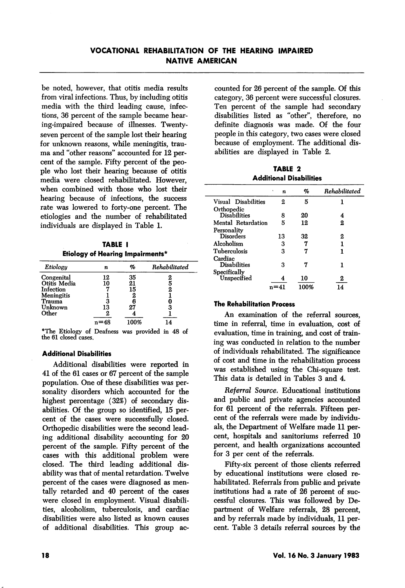be noted, however, that otitis media results from viral infections. Thus, by including otitis media with the third leading cause, infec tions, 36 percent of the sample became hear ing-impaired because of illnesses. Twentyseven percent of the sample lost their hearing for unknown reasons, while meningitis, trau ma and "other reasons'' accounted for 12 per cent of the sample. Fifty percent of the peo ple who lost their hearing because of otitis media were closed rehabilitated. However, when combined with those who lost their hearing because of infections, the success rate was lowered to forty-one percent. The etiologies and the number of rehabilitated individuals are displayed in Table 1.

TABLE I Etiology of Hearing Impairments\*

| Etiology     | n  | %    | Rehabilitated |
|--------------|----|------|---------------|
| Congenital   | 12 | 35   |               |
| Otitis Media | 10 | 21   |               |
| Infection    |    | 15   | 2             |
| Meningitis   |    |      |               |
| Trauma       | 3  |      |               |
| Unknown      | 13 |      | З             |
| Other        | 2  |      |               |
|              |    | 100% | 14            |

\*The Etiology of Deafness was provided in 48 of the 61 closed cases.

## Additional Disabilities

Additional disabilities were reported in 41 of the 61 cases or 67 percent of the sample population. One of these disabilities was per sonality disorders which accounted for the highest percentage (32%) of secondary dis abilities. Of the group so identified, 15 per cent of the cases were successfully closed. Orthopedic disabilities were the second lead ing additional disability accounting for 20 percent of the sample. Fifty percent of the cases with this additional problem were closed. The third leading additional dis ability was that of mental retardation. Twelve percent of the cases were diagnosed as men tally retarded and 40 percent of the cases were closed in employment. Visual disabili ties, alcoholism, tuberculosis, and cardiac disabilities were also listed as known causes of additional disabilities. This group ac

counted for 26 percent of the sample. Of this category, 36 percent were successful closures. Ten percent of the sample had secondary disabilities listed as "other", therefore, no definite diagnosis was made. Of the four people in this category, two cases were closed because of employment. The additional dis abilities are displayed in Table 2.

TABLE 2 Additional Disabilities

|                     | ٠<br>n | %    | Rehabilitated |
|---------------------|--------|------|---------------|
| Visual Disabilities | 2      | 5    |               |
| Orthopedic          |        |      |               |
| <b>Disabilities</b> | 8      | 20   | 4             |
| Mental Retardation  | 5      | 12   | 2             |
| Personality         |        |      |               |
| <b>Disorders</b>    | 13     | 32   | 2             |
| Alcoholism          | 3      |      |               |
| Tuberculosis        | 3      |      |               |
| Cardiac             |        |      |               |
| <b>Disabilities</b> | з      | 7    |               |
| Specifically        |        |      |               |
| ${\bf Unspecified}$ |        | 10   | 2             |
|                     |        | 100% |               |

#### The Rehabilitation Process

An examination of the referral sources, time in referral, time in evaluation, cost of evaluation, time in training, and cost of train ing was conducted in relation to the number of individuals rehabilitated. The significance of cost and time in the rehabilitation process was established using the Chi-square test. This data is detailed in Tables 3 and 4.

Referral Source. Educational institutions and public and private agencies accounted for 61 percent of the referrals. Fifteen per cent of the referrals were made by individu als, the Department of Welfare made 11 per cent, hospitals and sanitoriums referred 10 percent, and health organizations accounted for 3 per cent of the referrals.

Fifty-six percent of those clients referred by educational institutions were closed re habilitated. Referrals from public and private institutions had a rate of 26 percent of suc cessful closures. This was followed by De partment of Welfare referrals, 28 percent, and by referrals made by individuals, 11 per cent. Table 3 details referral sources by the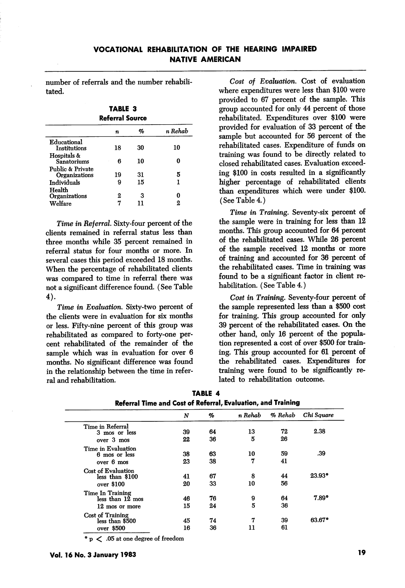number of referrals and the number rehabili tated.

TABLE 3 Referral Source

|                                          | n  | %  | n Rehab |
|------------------------------------------|----|----|---------|
| Educational<br>Institutions              | 18 | 30 | 10      |
| Hospitals &<br>Sanatoriums               | R  | 10 |         |
| Public & Private<br><b>Organizations</b> | 19 | 31 | 5       |
| Individuals                              | g  | 15 |         |
| Health<br>Organizations                  | 2  | з  |         |
| Welfare                                  |    |    | 2       |
|                                          |    |    |         |

Time in Referral. Sixty-four percent of the clients remained in referral status less than three months while 35 percent remained in referral status for four months or more. In several cases this period exceeded 18 months. When the percentage of rehabilitated clients was compared to time in referral there was not a significant difference found. (See Table 4).

Time in Evaluation. Sixty-two percent of the clients were in evaluation for six months or less. Fifty-nine percent of this group was rehabilitated as compared to forty-one per cent rehabihtated of the remainder of the sample which was in evaluation for over 6 months. No significant difference was found in the relationship between the time in refer ral and rehabilitation.

Cost of Evaluation. Cost of evaluation where expenditures were less than \$100 were provided to 67 percent of the sample. This group accounted for only 44 percent of those rehabilitated. Expenditures over \$100 were provided for evaluation of 33 percent of the sample but accounted for 56 percent of the rehabilitated cases. Expenditure of funds on training was found to be directly related to closed rehabilitated cases. Evaluation exceed ing \$100 in costs resulted in a significantly higher percentage of rehabilitated clients than expenditures which were under \$100. (See Table 4.)

Time in Training. Seventy-six percent of the sample were in training for less than 12 months. This group accounted for 64 percent of the rehabilitated cases. While 26 percent of the sample received 12 months or more of training and accounted for 36 percent of the rehabihtated cases. Time in training was found to be a significant factor in client rehabilitation. (See Table 4.)

Cost in Training. Seventy-four percent of the sample represented less than a \$500 cost for training. This group accounted for only 39 percent of the rehabihtated cases. On the other hand, only 16 percent of the popula tion represented a cost of over \$500 for train ing. This group accounted for 61 percent of the rehabihtated cases. Expenditures for training were found to be significantly re lated to rehabilitation outcome.

|                    | N  | %  | n Rehab | % Rehab | Chi Square      |
|--------------------|----|----|---------|---------|-----------------|
| Time in Referral   |    |    |         |         |                 |
| 3 mos or less      | 39 | 64 | 13      | 72      | 2.38            |
| over 3 mos         | 22 | 36 | 5       | 26      |                 |
| Time in Evaluation |    |    |         |         |                 |
| 6 mos or less      | 38 | 63 | 10      | 59      | .39             |
| over 6 mos         | 23 | 38 | 7       | 41      |                 |
| Cost of Evaluation |    |    |         |         |                 |
| less than \$100    | 41 | 67 | 8       | 44      | $23.93^{\circ}$ |
| over \$100         | 20 | 33 | 10      | 56      |                 |
| Time In Training   |    |    |         |         |                 |
| less than 12 mos   | 46 | 76 | 9       | 64      | $7.89^{\circ}$  |
| 12 mos or more     | 15 | 24 | 5       | 36      |                 |
| Cost of Training   |    |    |         |         |                 |
| less than \$500    | 45 | 74 | 7       | 39      | 63.67*          |
| over \$500         | 16 | 36 | 11      | 61      |                 |

|                                                              | TABLE 4 |  |
|--------------------------------------------------------------|---------|--|
| Referral Time and Cost of Referral, Evaluation, and Training |         |  |

• p < .05 at one degree of freedom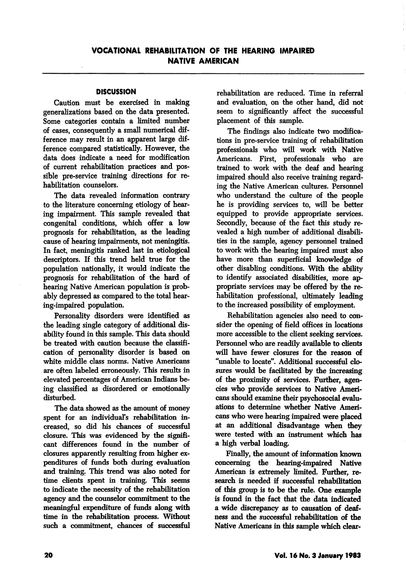### **DISCUSSION**

Caution must be exercised in making generalizations based on the data presented. Some categories contain a limited number of cases, consequently a small numerical dif ference may result in an apparent large dif ference compared statistically. However, the data does indicate a need for modification of current rehabilitation practices and pos sible pre-service training directions for re habilitation counselors.

The data revealed information contrary to the literature concerning etiology of hear ing impairment. This sample revealed that congenital conditions, which offer a low prognosis for rehabilitation, as the leading cause of hearing impairments, not meningitis. In fact, meningitis ranked last in etiological descriptors. If this trend held true for the population nationally, it would indicate the prognosis for rehabilitation of the hard of hearing Native American population is prob ably depressed as compared to the total hear ing-impaired population.

Personality disorders were identified as the leading single category of additional dis ability found in this sample. This data should be treated with caution because the classifi cation of personality disorder is based on white middle class norms. Native Americans are often labeled erroneously. This results in elevated percentages of American Indians be ing classified as disordered or emotionally disturbed.

The data showed as the amount of money spent for an individual's rehabilitation in creased, so did his chances of successful closure. This was evidenced by the signifi cant differences found in the number of closures apparently resulting from higher ex penditures of funds both during evaluation and training. This trend was also noted for time clients spent in training. This seems to indicate the necessity of the rehabilitation agency and the counselor commitment to the meaningful expenditure of funds along with time in the rehabilitation process. Without such a commitment, chances of successful rehabilitation are reduced. Time in referral and evaluation, on the other hand, did not seem to significantly affect the successful placement of this sample.

The findings also indicate two modifica tions in pre-service training of rehabilitation professionals who will work with Native Americans. First, professionals who are trained to work with the deaf and hearing impaired should also receive training regard ing the Native American cultures. Personnel who understand the culture of the people he is providing services to, will be better equipped to provide appropriate services. Secondly, because of the fact this study re vealed a high number of additional disabili ties in the sample, agency personnel trained to work with the hearing impaired must also have more than superficial knowledge of other disabling conditions. With the ability to identify associated disabilities, more ap propriate services may be offered by the re habilitation professional, ultimately leading to the increased possibility of employment.

Rehabilitation agencies also need to con sider the opening of field offices in locations more accessible to the client seeking services. Personnel who are readily available to clients will have fewer closures for the reason of "unable to locate". Additional successful clo sures would be facilitated by the increasing of the proximity of services. Further, agen cies who provide services to Native Ameri cans should examine their psychosocial evaluations to determine whether Native Ameri cans who were hearing impaired were placed at an additional disadvantage when they were tested with an instrument which has a high verbal loading.

Finally, the amount of information known concerning the hearing-impaired Native American is extremely limited. Further, research is needed if successful rehabilitation of this group is to be the rule. One example is found in the fact that the data indicated a wide discrepancy as to causation of deaf ness and the successful rehabilitation of the Native Americans in this sample which clear-